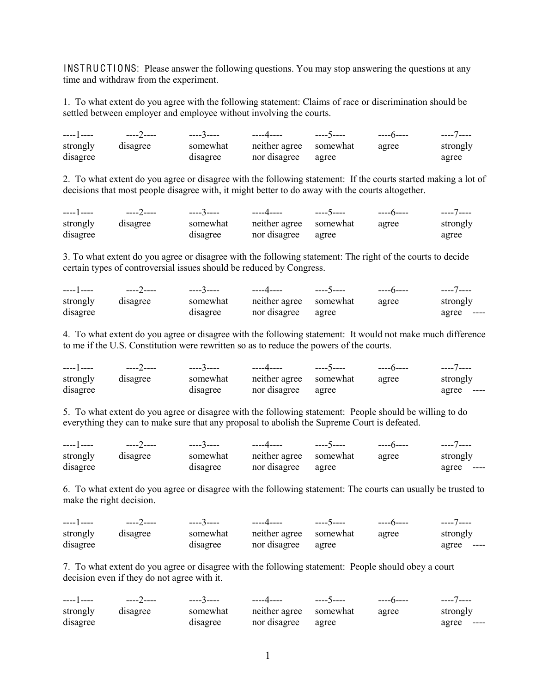INSTRUCTIONS: Please answer the following questions. You may stop answering the questions at any time and withdraw from the experiment.

1. To what extent do you agree with the following statement: Claims of race or discrimination should be settled between employer and employee without involving the courts.

|          |          |          | ----3----     ----4----    ----5---- |       | ----7---- |
|----------|----------|----------|--------------------------------------|-------|-----------|
| strongly | disagree | somewhat | neither agree somewhat               | agree | strongly  |
| disagree |          | disagree | nor disagree agree                   |       | agree     |

2. To what extent do you agree or disagree with the following statement: If the courts started making a lot of decisions that most people disagree with, it might better to do away with the courts altogether.

|          |          |          |                                 |       | ----7---- |
|----------|----------|----------|---------------------------------|-------|-----------|
| strongly | disagree |          | somewhat neither agree somewhat | agree | strongly  |
| disagree |          | disagree | nor disagree agree              |       | agree     |

3. To what extent do you agree or disagree with the following statement: The right of the courts to decide certain types of controversial issues should be reduced by Congress.

| ———— 1 ————————————— |          | ----3---- | ----4----              | ----5---- | $---6---$ | ----7----  |
|----------------------|----------|-----------|------------------------|-----------|-----------|------------|
| strongly             | disagree | somewhat  | neither agree somewhat |           | agree     | strongly   |
| disagree             |          | disagree  | nor disagree           | agree     |           | agree ---- |

4. To what extent do you agree or disagree with the following statement: It would not make much difference to me if the U.S. Constitution were rewritten so as to reduce the powers of the courts.

|          | ----2---- | ----3---- | ----4----              | ----5---- |       | ----7----  |
|----------|-----------|-----------|------------------------|-----------|-------|------------|
| strongly | disagree  | somewhat  | neither agree somewhat |           | agree | strongly   |
| disagree |           | disagree  | nor disagree           | agree     |       | agree ---- |

5. To what extent do you agree or disagree with the following statement: People should be willing to do everything they can to make sure that any proposal to abolish the Supreme Court is defeated.

| ----1---- | ----2---- | ----3---- | ----4----              | ----5---- | $---6---$ | ----7----      |
|-----------|-----------|-----------|------------------------|-----------|-----------|----------------|
| strongly  | disagree  | somewhat  | neither agree somewhat |           | agree     | strongly       |
| disagree  |           | disagree  | nor disagree agree     |           |           | agree<br>----- |

6. To what extent do you agree or disagree with the following statement: The courts can usually be trusted to make the right decision.

| ———— 1 ————————————— | ----2---- | ----3---- | ----4----              | ----5---- | $---6---$ | ----7----  |
|----------------------|-----------|-----------|------------------------|-----------|-----------|------------|
| strongly             | disagree  | somewhat  | neither agree somewhat |           | agree     | strongly   |
| disagree             |           | disagree  | nor disagree           | agree     |           | agree ---- |

7. To what extent do you agree or disagree with the following statement: People should obey a court decision even if they do not agree with it.

| ----] ---- <b>___</b> |          | -----3----- | ----4----    ----5---- | $---6---$ | ----7----  |
|-----------------------|----------|-------------|------------------------|-----------|------------|
| strongly              | disagree | somewhat    | neither agree somewhat | agree     | strongly   |
| disagree              |          | disagree    | nor disagree agree     |           | agree ---- |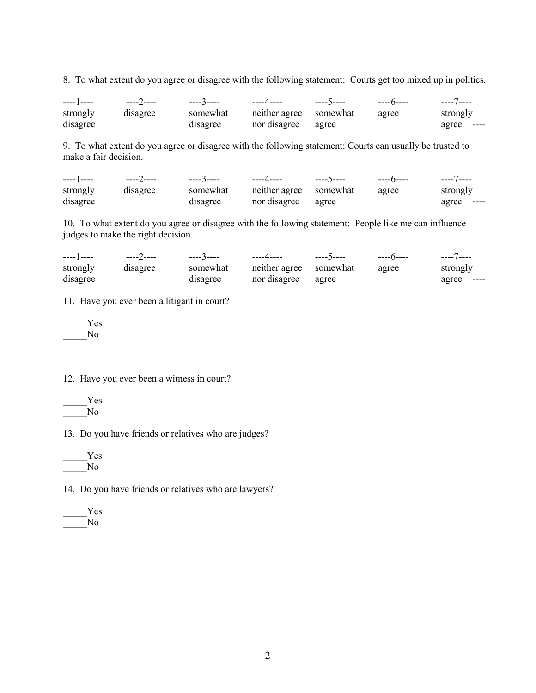8. To what extent do you agree or disagree with the following statement: Courts get too mixed up in politics.

| ---- 1 ---- | ----2---- | -----3----- | ----4----              | ----5---- | -----n----- | ----7----  |
|-------------|-----------|-------------|------------------------|-----------|-------------|------------|
| strongly    | disagree  | somewhat    | neither agree somewhat |           | agree       | strongly   |
| disagree    |           | disagree    | nor disagree           | agree     |             | agree ---- |

9. To what extent do you agree or disagree with the following statement: Courts can usually be trusted to make a fair decision.

|          | ----2---- | ----3-----    ----4---- |                        | ----5---- | $---6---$ | ----7----  |
|----------|-----------|-------------------------|------------------------|-----------|-----------|------------|
| strongly | disagree  | somewhat                | neither agree somewhat |           | agree     | strongly   |
| disagree |           | disagree                | nor disagree           | agree     |           | agree ---- |

10. To what extent do you agree or disagree with the following statement: People like me can influence judges to make the right decision.

|          |          | -----3----- | ----4----              | ----5---- |       | ----7----  |
|----------|----------|-------------|------------------------|-----------|-------|------------|
| strongly | disagree | somewhat    | neither agree somewhat |           | agree | strongly   |
| disagree |          | disagree    | nor disagree agree     |           |       | agree ---- |

11. Have you ever been a litigant in court?

\_\_\_\_\_Yes  $\overline{N}$ o

12. Have you ever been a witness in court?



13. Do you have friends or relatives who are judges?



14. Do you have friends or relatives who are lawyers?

| es |
|----|
|    |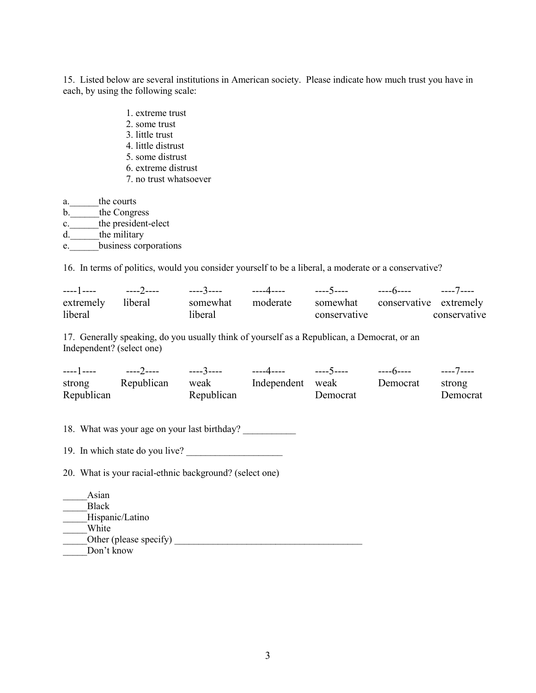15. Listed below are several institutions in American society. Please indicate how much trust you have in each, by using the following scale:

- 1. extreme trust
- 2. some trust
- 3. little trust
- 4. little distrust
- 5. some distrust
- 6. extreme distrust
- 7. no trust whatsoever

a. the courts b. the Congress c. the president-elect d. the military e.\_\_\_\_\_\_business corporations

16. In terms of politics, would you consider yourself to be a liberal, a moderate or a conservative?

| extremely liberal | somewhat moderate somewhat conservative extremely |              |              |
|-------------------|---------------------------------------------------|--------------|--------------|
| liberal           | liberal                                           | conservative | conservative |

17. Generally speaking, do you usually think of yourself as a Republican, a Democrat, or an Independent? (select one)

|            |            |            | ----4----    ----5----    ----6----    ----7---- |          |          |          |
|------------|------------|------------|--------------------------------------------------|----------|----------|----------|
| strong     | Republican | weak       | Independent weak                                 |          | Democrat | strong   |
| Republican |            | Republican |                                                  | Democrat |          | Democrat |

18. What was your age on your last birthday?

19. In which state do you live?

20. What is your racial-ethnic background? (select one)

| Asian                  |  |
|------------------------|--|
| <b>Black</b>           |  |
| Hispanic/Latino        |  |
| White                  |  |
| Other (please specify) |  |
| Don't know             |  |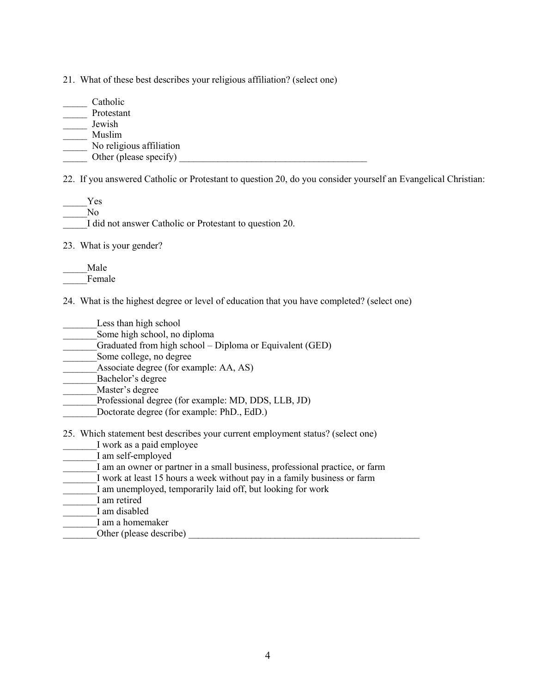21. What of these best describes your religious affiliation? (select one)

\_\_\_\_\_ Catholic \_\_\_\_\_ Protestant \_\_\_\_\_ Jewish \_\_\_\_\_ Muslim \_\_\_\_\_ No religious affiliation  $\overline{\phantom{a}}$  Other (please specify)  $\overline{\phantom{a}}$ 

22. If you answered Catholic or Protestant to question 20, do you consider yourself an Evangelical Christian:

\_\_\_\_\_Yes  $\overline{N}$ o I did not answer Catholic or Protestant to question 20.

23. What is your gender?

\_\_\_\_\_Male Female

24. What is the highest degree or level of education that you have completed? (select one)

- Less than high school
- Some high school, no diploma
- Graduated from high school Diploma or Equivalent (GED)

Some college, no degree

Associate degree (for example: AA, AS)

Bachelor's degree

Master's degree

- Professional degree (for example: MD, DDS, LLB, JD)
- Doctorate degree (for example: PhD., EdD.)

25. Which statement best describes your current employment status? (select one)

- \_\_\_\_\_\_\_I work as a paid employee
- I am self-employed
- I am an owner or partner in a small business, professional practice, or farm
- I work at least 15 hours a week without pay in a family business or farm
- \_\_\_\_\_\_\_I am unemployed, temporarily laid off, but looking for work

I am retired

\_\_\_\_\_\_\_I am disabled

\_\_\_\_\_\_\_I am a homemaker

\_\_\_\_\_\_\_Other (please describe) \_\_\_\_\_\_\_\_\_\_\_\_\_\_\_\_\_\_\_\_\_\_\_\_\_\_\_\_\_\_\_\_\_\_\_\_\_\_\_\_\_\_\_\_\_\_\_\_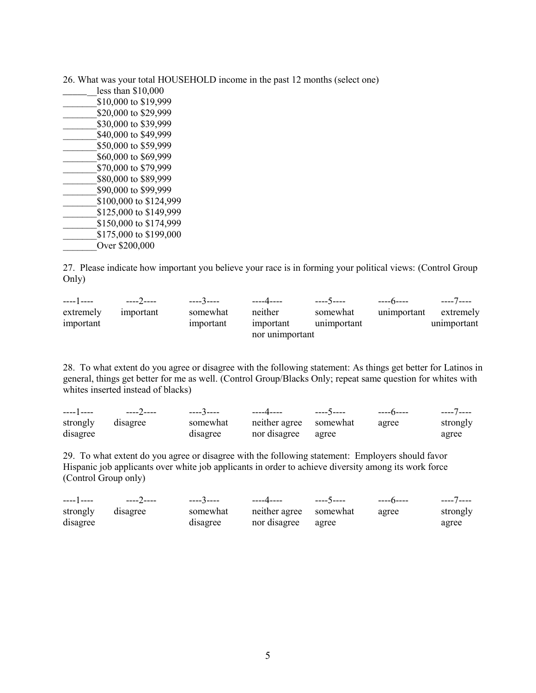26. What was your total HOUSEHOLD income in the past 12 months (select one)

| less than \$10,000     |
|------------------------|
| \$10,000 to \$19,999   |
| \$20,000 to \$29,999   |
| \$30,000 to \$39,999   |
| \$40,000 to \$49,999   |
| \$50,000 to \$59,999   |
| \$60,000 to \$69,999   |
| \$70,000 to \$79,999   |
| \$80,000 to \$89,999   |
| \$90,000 to \$99,999   |
| \$100,000 to \$124,999 |
| \$125,000 to \$149,999 |
| \$150,000 to \$174,999 |
| \$175,000 to \$199,000 |
| Over \$200,000         |

27. Please indicate how important you believe your race is in forming your political views: (Control Group Only)

|           |           |           | _____4____      | ----5----   | ----6----    ----7---- |             |
|-----------|-----------|-----------|-----------------|-------------|------------------------|-------------|
| extremely | important | somewhat  | neither         | somewhat    | unimportant            | extremely   |
| important |           | important | important       | unimportant |                        | unimportant |
|           |           |           | nor unimportant |             |                        |             |

28. To what extent do you agree or disagree with the following statement: As things get better for Latinos in general, things get better for me as well. (Control Group/Blacks Only; repeat same question for whites with whites inserted instead of blacks)

| ----1---- | ----2---- | ----3---- | ----4----              | ----5----- | $---6---$ | ----7---- |
|-----------|-----------|-----------|------------------------|------------|-----------|-----------|
| strongly  | disagree  | somewhat  | neither agree somewhat |            | agree     | strongly  |
| disagree  |           | disagree  | nor disagree agree     |            |           | agree     |

29. To what extent do you agree or disagree with the following statement: Employers should favor Hispanic job applicants over white job applicants in order to achieve diversity among its work force (Control Group only)

|          |          | ----3-----                  ----4---- |                        | ----5---- |       | ----7---- |
|----------|----------|---------------------------------------|------------------------|-----------|-------|-----------|
| strongly | disagree | somewhat                              | neither agree somewhat |           | agree | strongly  |
| disagree |          | disagree                              | nor disagree agree     |           |       | agree     |